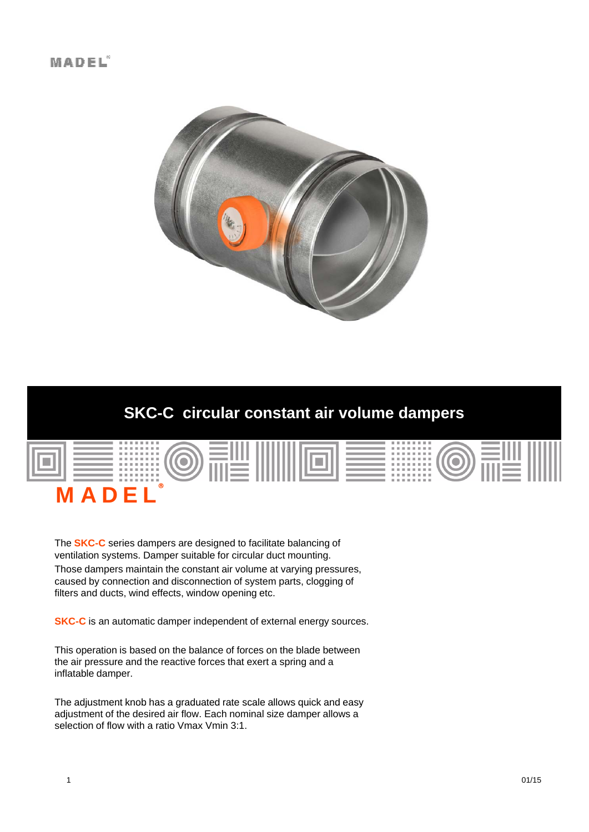

# **SKC-C circular constant air volume dampers**



The **SKC-C** series dampers are designed to facilitate balancing of ventilation systems. Damper suitable for circular duct mounting. Those dampers maintain the constant air volume at varying pressures, caused by connection and disconnection of system parts, clogging of filters and ducts, wind effects, window opening etc.

**SKC-C** is an automatic damper independent of external energy sources.

This operation is based on the balance of forces on the blade between the air pressure and the reactive forces that exert a spring and a inflatable damper.

The adjustment knob has a graduated rate scale allows quick and easy adjustment of the desired air flow. Each nominal size damper allows a selection of flow with a ratio Vmax Vmin 3:1.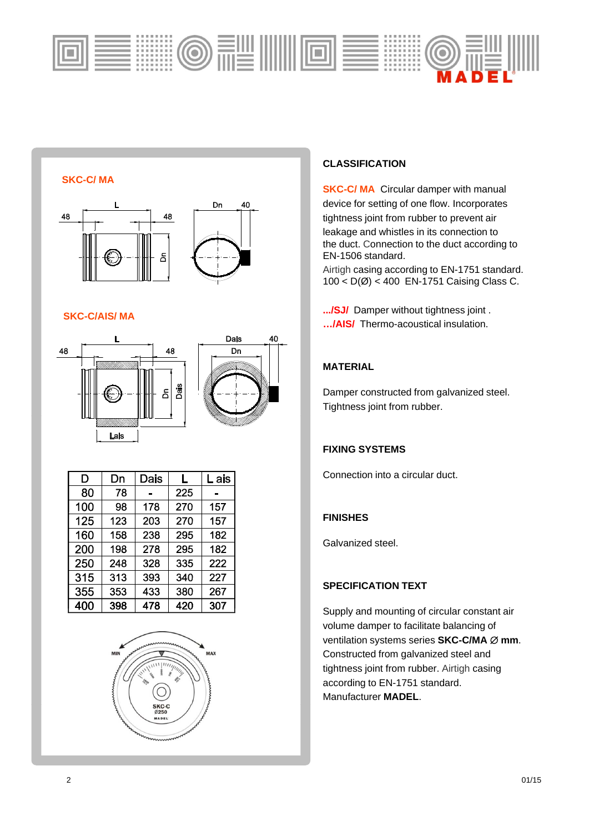

**SKC-C/ MA**



#### **SKC-C/AIS/MA**





| D   | Dn  | Dais | L   | L ais |
|-----|-----|------|-----|-------|
| 80  | 78  |      | 225 |       |
| 100 | 98  | 178  | 270 | 157   |
| 125 | 123 | 203  | 270 | 157   |
| 160 | 158 | 238  | 295 | 182   |
| 200 | 198 | 278  | 295 | 182   |
| 250 | 248 | 328  | 335 | 222   |
| 315 | 313 | 393  | 340 | 227   |
| 355 | 353 | 433  | 380 | 267   |
| 400 | 398 | 478  | 420 | 307   |



## **CLASSIFICATION**

**SKC-C/ MA** Circular damper with manual device for setting of one flow. Incorporates tightness joint from rubber to prevent air leakage and whistles in its connection to the duct. Connection to the duct according to EN-1506 standard.

Airtigh casing according to EN-1751 standard. 100 < D(Ø) < 400 EN-1751 Caising Class C.

**.../SJ/** Damper without tightness joint . **…/AIS/** Thermo-acoustical insulation.

### **MATERIAL**

Damper constructed from galvanized steel. Tightness joint from rubber.

## **FIXING SYSTEMS**

Connection into a circular duct.

#### **FINISHES**

Galvanized steel.

### **SPECIFICATION TEXT**

Supply and mounting of circular constant air volume damper to facilitate balancing of ventilation systems series **SKC-C/MA Ø mm**. Constructed from galvanized steel and tightness joint from rubber. Airtigh casing according to EN-1751 standard. Manufacturer **MADEL**.